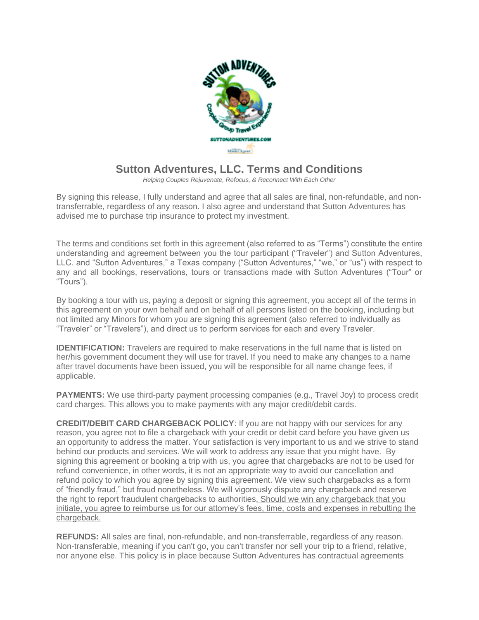

## **Sutton Adventures, LLC. Terms and Conditions**

*Helping Couples Rejuvenate, Refocus, & Reconnect With Each Other*

By signing this release, I fully understand and agree that all sales are final, non-refundable, and nontransferrable, regardless of any reason. I also agree and understand that Sutton Adventures has advised me to purchase trip insurance to protect my investment.

The terms and conditions set forth in this agreement (also referred to as "Terms") constitute the entire understanding and agreement between you the tour participant ("Traveler") and Sutton Adventures, LLC. and "Sutton Adventures," a Texas company ("Sutton Adventures," "we," or "us") with respect to any and all bookings, reservations, tours or transactions made with Sutton Adventures ("Tour" or "Tours").

By booking a tour with us, paying a deposit or signing this agreement, you accept all of the terms in this agreement on your own behalf and on behalf of all persons listed on the booking, including but not limited any Minors for whom you are signing this agreement (also referred to individually as "Traveler" or "Travelers"), and direct us to perform services for each and every Traveler.

**IDENTIFICATION:** Travelers are required to make reservations in the full name that is listed on her/his government document they will use for travel. If you need to make any changes to a name after travel documents have been issued, you will be responsible for all name change fees, if applicable.

**PAYMENTS:** We use third-party payment processing companies (e.g., Travel Joy) to process credit card charges. This allows you to make payments with any major credit/debit cards.

**CREDIT/DEBIT CARD CHARGEBACK POLICY**: If you are not happy with our services for any reason, you agree not to file a chargeback with your credit or debit card before you have given us an opportunity to address the matter. Your satisfaction is very important to us and we strive to stand behind our products and services. We will work to address any issue that you might have. By signing this agreement or booking a trip with us, you agree that chargebacks are not to be used for refund convenience, in other words, it is not an appropriate way to avoid our cancellation and refund policy to which you agree by signing this agreement. We view such chargebacks as a form of "friendly fraud," but fraud nonetheless. We will vigorously dispute any chargeback and reserve the right to report fraudulent chargebacks to authorities. Should we win any chargeback that you initiate, you agree to reimburse us for our attorney's fees, time, costs and expenses in rebutting the chargeback.

**REFUNDS:** All sales are final, non-refundable, and non-transferrable, regardless of any reason. Non-transferable, meaning if you can't go, you can't transfer nor sell your trip to a friend, relative, nor anyone else. This policy is in place because Sutton Adventures has contractual agreements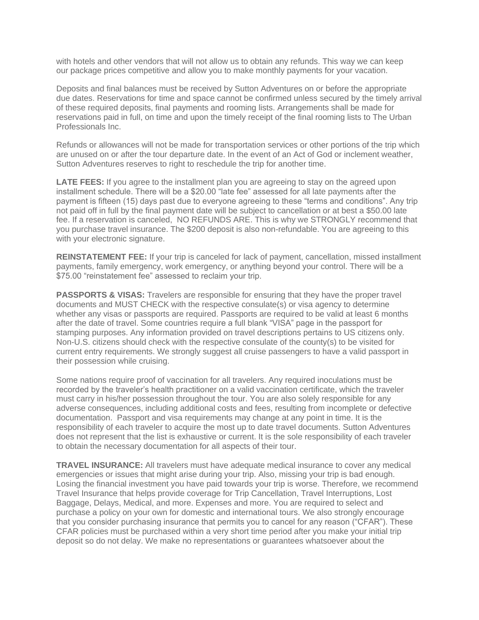with hotels and other vendors that will not allow us to obtain any refunds. This way we can keep our package prices competitive and allow you to make monthly payments for your vacation.

Deposits and final balances must be received by Sutton Adventures on or before the appropriate due dates. Reservations for time and space cannot be confirmed unless secured by the timely arrival of these required deposits, final payments and rooming lists. Arrangements shall be made for reservations paid in full, on time and upon the timely receipt of the final rooming lists to The Urban Professionals Inc.

Refunds or allowances will not be made for transportation services or other portions of the trip which are unused on or after the tour departure date. In the event of an Act of God or inclement weather, Sutton Adventures reserves to right to reschedule the trip for another time.

**LATE FEES:** If you agree to the installment plan you are agreeing to stay on the agreed upon installment schedule. There will be a \$20.00 "late fee" assessed for all late payments after the payment is fifteen (15) days past due to everyone agreeing to these "terms and conditions". Any trip not paid off in full by the final payment date will be subject to cancellation or at best a \$50.00 late fee. If a reservation is canceled, NO REFUNDS ARE. This is why we STRONGLY recommend that you purchase travel insurance. The \$200 deposit is also non-refundable. You are agreeing to this with your electronic signature.

**REINSTATEMENT FEE:** If your trip is canceled for lack of payment, cancellation, missed installment payments, family emergency, work emergency, or anything beyond your control. There will be a \$75.00 "reinstatement fee" assessed to reclaim your trip.

**PASSPORTS & VISAS:** Travelers are responsible for ensuring that they have the proper travel documents and MUST CHECK with the respective consulate(s) or visa agency to determine whether any visas or passports are required. Passports are required to be valid at least 6 months after the date of travel. Some countries require a full blank "VISA" page in the passport for stamping purposes. Any information provided on travel descriptions pertains to US citizens only. Non-U.S. citizens should check with the respective consulate of the county(s) to be visited for current entry requirements. We strongly suggest all cruise passengers to have a valid passport in their possession while cruising.

Some nations require proof of vaccination for all travelers. Any required inoculations must be recorded by the traveler's health practitioner on a valid vaccination certificate, which the traveler must carry in his/her possession throughout the tour. You are also solely responsible for any adverse consequences, including additional costs and fees, resulting from incomplete or defective documentation. Passport and visa requirements may change at any point in time. It is the responsibility of each traveler to acquire the most up to date travel documents. Sutton Adventures does not represent that the list is exhaustive or current. It is the sole responsibility of each traveler to obtain the necessary documentation for all aspects of their tour.

**TRAVEL INSURANCE:** All travelers must have adequate medical insurance to cover any medical emergencies or issues that might arise during your trip. Also, missing your trip is bad enough. Losing the financial investment you have paid towards your trip is worse. Therefore, we recommend Travel Insurance that helps provide coverage for Trip Cancellation, Travel Interruptions, Lost Baggage, Delays, Medical, and more. Expenses and more. You are required to select and purchase a policy on your own for domestic and international tours. We also strongly encourage that you consider purchasing insurance that permits you to cancel for any reason ("CFAR"). These CFAR policies must be purchased within a very short time period after you make your initial trip deposit so do not delay. We make no representations or guarantees whatsoever about the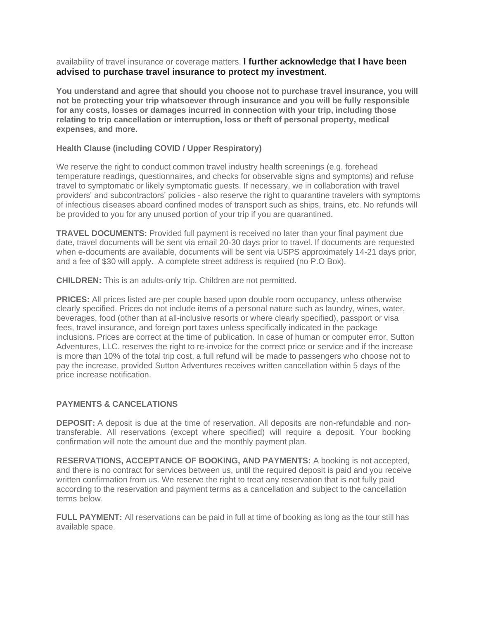availability of travel insurance or coverage matters. **I further acknowledge that I have been advised to purchase travel insurance to protect my investment**.

**You understand and agree that should you choose not to purchase travel insurance, you will not be protecting your trip whatsoever through insurance and you will be fully responsible for any costs, losses or damages incurred in connection with your trip, including those relating to trip cancellation or interruption, loss or theft of personal property, medical expenses, and more.**

## **Health Clause (including COVID / Upper Respiratory)**

We reserve the right to conduct common travel industry health screenings (e.g. forehead temperature readings, questionnaires, and checks for observable signs and symptoms) and refuse travel to symptomatic or likely symptomatic guests. If necessary, we in collaboration with travel providers' and subcontractors' policies - also reserve the right to quarantine travelers with symptoms of infectious diseases aboard confined modes of transport such as ships, trains, etc. No refunds will be provided to you for any unused portion of your trip if you are quarantined.

**TRAVEL DOCUMENTS:** Provided full payment is received no later than your final payment due date, travel documents will be sent via email 20-30 days prior to travel. If documents are requested when e-documents are available, documents will be sent via USPS approximately 14-21 days prior, and a fee of \$30 will apply. A complete street address is required (no P.O Box).

**CHILDREN:** This is an adults-only trip. Children are not permitted.

**PRICES:** All prices listed are per couple based upon double room occupancy, unless otherwise clearly specified. Prices do not include items of a personal nature such as laundry, wines, water, beverages, food (other than at all-inclusive resorts or where clearly specified), passport or visa fees, travel insurance, and foreign port taxes unless specifically indicated in the package inclusions. Prices are correct at the time of publication. In case of human or computer error, Sutton Adventures, LLC. reserves the right to re-invoice for the correct price or service and if the increase is more than 10% of the total trip cost, a full refund will be made to passengers who choose not to pay the increase, provided Sutton Adventures receives written cancellation within 5 days of the price increase notification.

## **PAYMENTS & CANCELATIONS**

**DEPOSIT:** A deposit is due at the time of reservation. All deposits are non-refundable and nontransferable. All reservations (except where specified) will require a deposit. Your booking confirmation will note the amount due and the monthly payment plan.

**RESERVATIONS, ACCEPTANCE OF BOOKING, AND PAYMENTS:** A booking is not accepted, and there is no contract for services between us, until the required deposit is paid and you receive written confirmation from us. We reserve the right to treat any reservation that is not fully paid according to the reservation and payment terms as a cancellation and subject to the cancellation terms below.

**FULL PAYMENT:** All reservations can be paid in full at time of booking as long as the tour still has available space.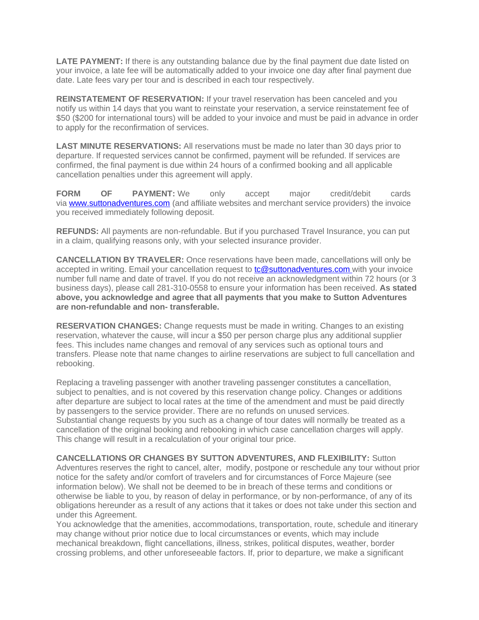**LATE PAYMENT:** If there is any outstanding balance due by the final payment due date listed on your invoice, a late fee will be automatically added to your invoice one day after final payment due date. Late fees vary per tour and is described in each tour respectively.

**REINSTATEMENT OF RESERVATION:** If your travel reservation has been canceled and you notify us within 14 days that you want to reinstate your reservation, a service reinstatement fee of \$50 (\$200 for international tours) will be added to your invoice and must be paid in advance in order to apply for the reconfirmation of services.

**LAST MINUTE RESERVATIONS:** All reservations must be made no later than 30 days prior to departure. If requested services cannot be confirmed, payment will be refunded. If services are confirmed, the final payment is due within 24 hours of a confirmed booking and all applicable cancellation penalties under this agreement will apply.

**FORM OF PAYMENT:** We only accept major credit/debit cards via **[www.suttonadventures.com](http://www.suttonadventures.com/)** (and affiliate websites and merchant service providers) the invoice you received immediately following deposit.

**REFUNDS:** All payments are non-refundable. But if you purchased Travel Insurance, you can put in a claim, qualifying reasons only, with your selected insurance provider.

**CANCELLATION BY TRAVELER:** Once reservations have been made, cancellations will only be accepted in writing. Email your cancellation request to [tc@suttonadventures.com](mailto:tc@suttonadventures.com) [w](mailto:info@ladiesandluggage.com)ith your invoice number full name and date of travel. If you do not receive an acknowledgment within 72 hours (or 3 business days), please call 281-310-0558 to ensure your information has been received. **As stated above, you acknowledge and agree that all payments that you make to Sutton Adventures are non-refundable and non- transferable.**

**RESERVATION CHANGES:** Change requests must be made in writing. Changes to an existing reservation, whatever the cause, will incur a \$50 per person charge plus any additional supplier fees. This includes name changes and removal of any services such as optional tours and transfers. Please note that name changes to airline reservations are subject to full cancellation and rebooking.

Replacing a traveling passenger with another traveling passenger constitutes a cancellation, subject to penalties, and is not covered by this reservation change policy. Changes or additions after departure are subject to local rates at the time of the amendment and must be paid directly by passengers to the service provider. There are no refunds on unused services. Substantial change requests by you such as a change of tour dates will normally be treated as a cancellation of the original booking and rebooking in which case cancellation charges will apply. This change will result in a recalculation of your original tour price.

**CANCELLATIONS OR CHANGES BY SUTTON ADVENTURES, AND FLEXIBILITY:** Sutton Adventures reserves the right to cancel, alter, modify, postpone or reschedule any tour without prior notice for the safety and/or comfort of travelers and for circumstances of Force Majeure (see information below). We shall not be deemed to be in breach of these terms and conditions or otherwise be liable to you, by reason of delay in performance, or by non-performance, of any of its obligations hereunder as a result of any actions that it takes or does not take under this section and under this Agreement.

You acknowledge that the amenities, accommodations, transportation, route, schedule and itinerary may change without prior notice due to local circumstances or events, which may include mechanical breakdown, flight cancellations, illness, strikes, political disputes, weather, border crossing problems, and other unforeseeable factors. If, prior to departure, we make a significant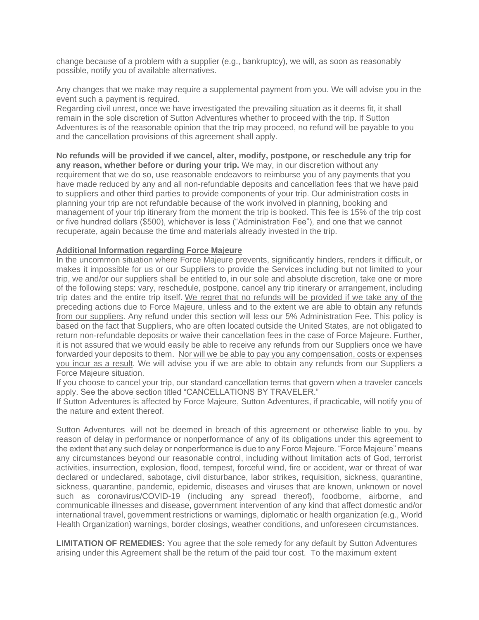change because of a problem with a supplier (e.g., bankruptcy), we will, as soon as reasonably possible, notify you of available alternatives.

Any changes that we make may require a supplemental payment from you. We will advise you in the event such a payment is required.

Regarding civil unrest, once we have investigated the prevailing situation as it deems fit, it shall remain in the sole discretion of Sutton Adventures whether to proceed with the trip. If Sutton Adventures is of the reasonable opinion that the trip may proceed, no refund will be payable to you and the cancellation provisions of this agreement shall apply.

**No refunds will be provided if we cancel, alter, modify, postpone, or reschedule any trip for any reason, whether before or during your trip.** We may, in our discretion without any requirement that we do so, use reasonable endeavors to reimburse you of any payments that you have made reduced by any and all non-refundable deposits and cancellation fees that we have paid to suppliers and other third parties to provide components of your trip. Our administration costs in planning your trip are not refundable because of the work involved in planning, booking and management of your trip itinerary from the moment the trip is booked. This fee is 15% of the trip cost or five hundred dollars (\$500), whichever is less ("Administration Fee"), and one that we cannot recuperate, again because the time and materials already invested in the trip.

## **Additional Information regarding Force Majeure**

In the uncommon situation where Force Majeure prevents, significantly hinders, renders it difficult, or makes it impossible for us or our Suppliers to provide the Services including but not limited to your trip, we and/or our suppliers shall be entitled to, in our sole and absolute discretion, take one or more of the following steps: vary, reschedule, postpone, cancel any trip itinerary or arrangement, including trip dates and the entire trip itself. We regret that no refunds will be provided if we take any of the preceding actions due to Force Majeure, unless and to the extent we are able to obtain any refunds from our suppliers. Any refund under this section will less our 5% Administration Fee. This policy is based on the fact that Suppliers, who are often located outside the United States, are not obligated to return non-refundable deposits or waive their cancellation fees in the case of Force Majeure. Further, it is not assured that we would easily be able to receive any refunds from our Suppliers once we have forwarded your deposits to them. Nor will we be able to pay you any compensation, costs or expenses you incur as a result. We will advise you if we are able to obtain any refunds from our Suppliers a Force Majeure situation.

If you choose to cancel your trip, our standard cancellation terms that govern when a traveler cancels apply. See the above section titled "CANCELLATIONS BY TRAVELER."

If Sutton Adventures is affected by Force Majeure, Sutton Adventures, if practicable, will notify you of the nature and extent thereof.

Sutton Adventures will not be deemed in breach of this agreement or otherwise liable to you, by reason of delay in performance or nonperformance of any of its obligations under this agreement to the extent that any such delay or nonperformance is due to any Force Majeure. "Force Majeure" means any circumstances beyond our reasonable control, including without limitation acts of God, terrorist activities, insurrection, explosion, flood, tempest, forceful wind, fire or accident, war or threat of war declared or undeclared, sabotage, civil disturbance, labor strikes, requisition, sickness, quarantine, sickness, quarantine, pandemic, epidemic, diseases and viruses that are known, unknown or novel such as coronavirus/COVID-19 (including any spread thereof), foodborne, airborne, and communicable illnesses and disease, government intervention of any kind that affect domestic and/or international travel, government restrictions or warnings, diplomatic or health organization (e.g., World Health Organization) warnings, border closings, weather conditions, and unforeseen circumstances.

**LIMITATION OF REMEDIES:** You agree that the sole remedy for any default by Sutton Adventures arising under this Agreement shall be the return of the paid tour cost. To the maximum extent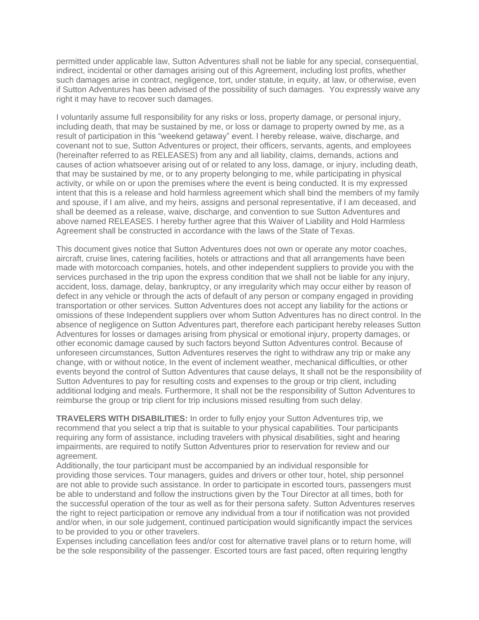permitted under applicable law, Sutton Adventures shall not be liable for any special, consequential, indirect, incidental or other damages arising out of this Agreement, including lost profits, whether such damages arise in contract, negligence, tort, under statute, in equity, at law, or otherwise, even if Sutton Adventures has been advised of the possibility of such damages. You expressly waive any right it may have to recover such damages.

I voluntarily assume full responsibility for any risks or loss, property damage, or personal injury, including death, that may be sustained by me, or loss or damage to property owned by me, as a result of participation in this "weekend getaway" event. I hereby release, waive, discharge, and covenant not to sue, Sutton Adventures or project, their officers, servants, agents, and employees (hereinafter referred to as RELEASES) from any and all liability, claims, demands, actions and causes of action whatsoever arising out of or related to any loss, damage, or injury, including death, that may be sustained by me, or to any property belonging to me, while participating in physical activity, or while on or upon the premises where the event is being conducted. It is my expressed intent that this is a release and hold harmless agreement which shall bind the members of my family and spouse, if I am alive, and my heirs, assigns and personal representative, if I am deceased, and shall be deemed as a release, waive, discharge, and convention to sue Sutton Adventures and above named RELEASES. I hereby further agree that this Waiver of Liability and Hold Harmless Agreement shall be constructed in accordance with the laws of the State of Texas.

This document gives notice that Sutton Adventures does not own or operate any motor coaches, aircraft, cruise lines, catering facilities, hotels or attractions and that all arrangements have been made with motorcoach companies, hotels, and other independent suppliers to provide you with the services purchased in the trip upon the express condition that we shall not be liable for any injury, accident, loss, damage, delay, bankruptcy, or any irregularity which may occur either by reason of defect in any vehicle or through the acts of default of any person or company engaged in providing transportation or other services. Sutton Adventures does not accept any liability for the actions or omissions of these Independent suppliers over whom Sutton Adventures has no direct control. In the absence of negligence on Sutton Adventures part, therefore each participant hereby releases Sutton Adventures for losses or damages arising from physical or emotional injury, property damages, or other economic damage caused by such factors beyond Sutton Adventures control. Because of unforeseen circumstances, Sutton Adventures reserves the right to withdraw any trip or make any change, with or without notice, In the event of inclement weather, mechanical difficulties, or other events beyond the control of Sutton Adventures that cause delays, It shall not be the responsibility of Sutton Adventures to pay for resulting costs and expenses to the group or trip client, including additional lodging and meals. Furthermore, It shall not be the responsibility of Sutton Adventures to reimburse the group or trip client for trip inclusions missed resulting from such delay.

**TRAVELERS WITH DISABILITIES:** In order to fully enjoy your Sutton Adventures trip, we recommend that you select a trip that is suitable to your physical capabilities. Tour participants requiring any form of assistance, including travelers with physical disabilities, sight and hearing impairments, are required to notify Sutton Adventures prior to reservation for review and our agreement.

Additionally, the tour participant must be accompanied by an individual responsible for providing those services. Tour managers, guides and drivers or other tour, hotel, ship personnel are not able to provide such assistance. In order to participate in escorted tours, passengers must be able to understand and follow the instructions given by the Tour Director at all times, both for the successful operation of the tour as well as for their persona safety. Sutton Adventures reserves the right to reject participation or remove any individual from a tour if notification was not provided and/or when, in our sole judgement, continued participation would significantly impact the services to be provided to you or other travelers.

Expenses including cancellation fees and/or cost for alternative travel plans or to return home, will be the sole responsibility of the passenger. Escorted tours are fast paced, often requiring lengthy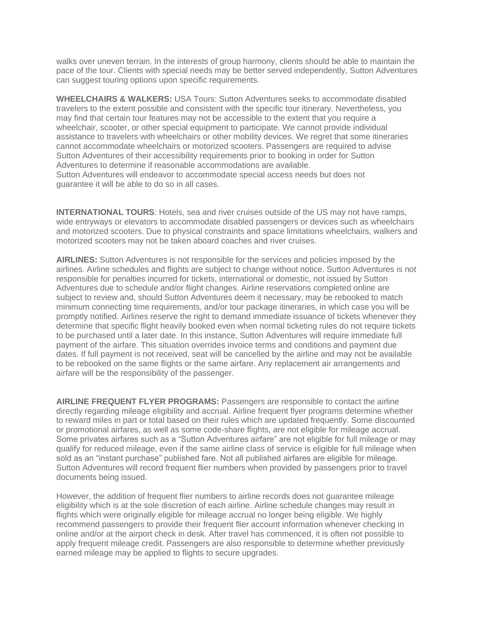walks over uneven terrain. In the interests of group harmony, clients should be able to maintain the pace of the tour. Clients with special needs may be better served independently, Sutton Adventures can suggest touring options upon specific requirements.

**WHEELCHAIRS & WALKERS:** USA Tours: Sutton Adventures seeks to accommodate disabled travelers to the extent possible and consistent with the specific tour itinerary. Nevertheless, you may find that certain tour features may not be accessible to the extent that you require a wheelchair, scooter, or other special equipment to participate. We cannot provide individual assistance to travelers with wheelchairs or other mobility devices. We regret that some itineraries cannot accommodate wheelchairs or motorized scooters. Passengers are required to advise Sutton Adventures of their accessibility requirements prior to booking in order for Sutton Adventures to determine if reasonable accommodations are available. Sutton Adventures will endeavor to accommodate special access needs but does not guarantee it will be able to do so in all cases.

**INTERNATIONAL TOURS**: Hotels, sea and river cruises outside of the US may not have ramps, wide entryways or elevators to accommodate disabled passengers or devices such as wheelchairs and motorized scooters. Due to physical constraints and space limitations wheelchairs, walkers and motorized scooters may not be taken aboard coaches and river cruises.

**AIRLINES:** Sutton Adventures is not responsible for the services and policies imposed by the airlines. Airline schedules and flights are subject to change without notice. Sutton Adventures is not responsible for penalties incurred for tickets, international or domestic, not issued by Sutton Adventures due to schedule and/or flight changes. Airline reservations completed online are subject to review and, should Sutton Adventures deem it necessary, may be rebooked to match minimum connecting time requirements, and/or tour package itineraries, in which case you will be promptly notified. Airlines reserve the right to demand immediate issuance of tickets whenever they determine that specific flight heavily booked even when normal ticketing rules do not require tickets to be purchased until a later date. In this instance, Sutton Adventures will require immediate full payment of the airfare. This situation overrides invoice terms and conditions and payment due dates. If full payment is not received, seat will be cancelled by the airline and may not be available to be rebooked on the same flights or the same airfare. Any replacement air arrangements and airfare will be the responsibility of the passenger.

**AIRLINE FREQUENT FLYER PROGRAMS:** Passengers are responsible to contact the airline directly regarding mileage eligibility and accrual. Airline frequent flyer programs determine whether to reward miles in part or total based on their rules which are updated frequently. Some discounted or promotional airfares, as well as some code-share flights, are not eligible for mileage accrual. Some privates airfares such as a "Sutton Adventures airfare" are not eligible for full mileage or may qualify for reduced mileage, even if the same airline class of service is eligible for full mileage when sold as an "instant purchase" published fare. Not all published airfares are eligible for mileage. Sutton Adventures will record frequent flier numbers when provided by passengers prior to travel documents being issued.

However, the addition of frequent flier numbers to airline records does not guarantee mileage eligibility which is at the sole discretion of each airline. Airline schedule changes may result in flights which were originally eligible for mileage accrual no longer being eligible. We highly recommend passengers to provide their frequent flier account information whenever checking in online and/or at the airport check in desk. After travel has commenced, it is often not possible to apply frequent mileage credit. Passengers are also responsible to determine whether previously earned mileage may be applied to flights to secure upgrades.